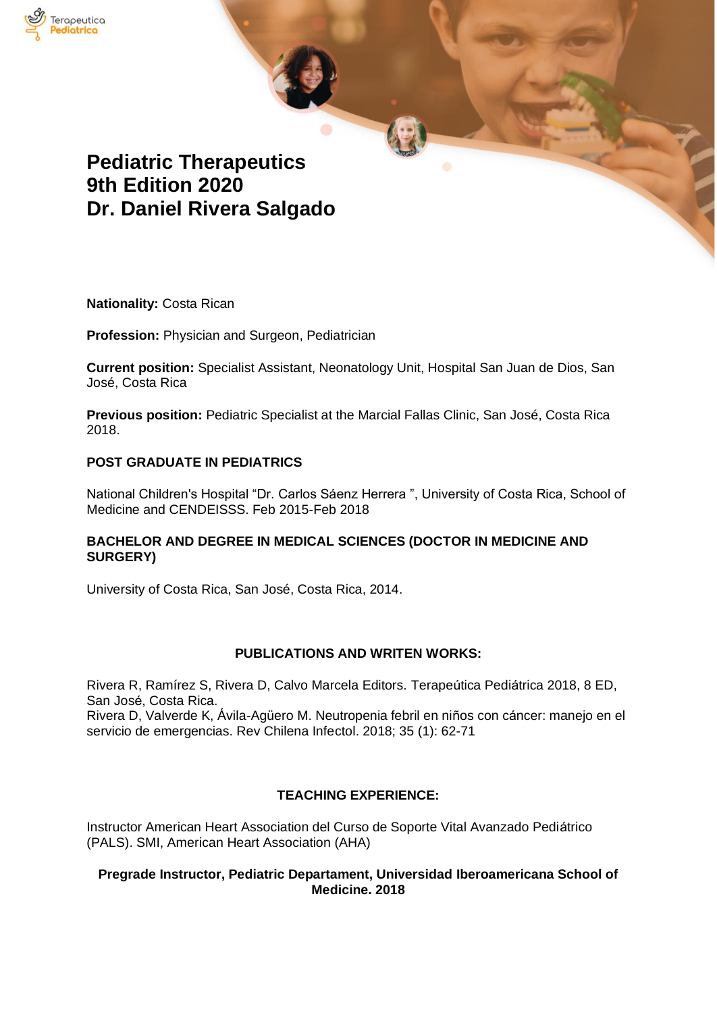

# **Pediatric Therapeutics 9th Edition 2020 Dr. Daniel Rivera Salgado**

**Nationality:** Costa Rican

**Profession:** Physician and Surgeon, Pediatrician

**Current position:** Specialist Assistant, Neonatology Unit, Hospital San Juan de Dios, San José, Costa Rica

**Previous position:** Pediatric Specialist at the Marcial Fallas Clinic, San José, Costa Rica 2018.

### **POST GRADUATE IN PEDIATRICS**

National Children's Hospital "Dr. Carlos Sáenz Herrera ", University of Costa Rica, School of Medicine and CENDEISSS. Feb 2015-Feb 2018

### **BACHELOR AND DEGREE IN MEDICAL SCIENCES (DOCTOR IN MEDICINE AND SURGERY)**

University of Costa Rica, San José, Costa Rica, 2014.

### **PUBLICATIONS AND WRITEN WORKS:**

Rivera R, Ramírez S, Rivera D, Calvo Marcela Editors. Terapeútica Pediátrica 2018, 8 ED, San José, Costa Rica.

Rivera D, Valverde K, Ávila-Agüero M. Neutropenia febril en niños con cáncer: manejo en el servicio de emergencias. Rev Chilena Infectol. 2018; 35 (1): 62-71

### **TEACHING EXPERIENCE:**

Instructor American Heart Association del Curso de Soporte Vital Avanzado Pediátrico (PALS). SMI, American Heart Association (AHA)

#### **Pregrade Instructor, Pediatric Departament, Universidad Iberoamericana School of Medicine. 2018**